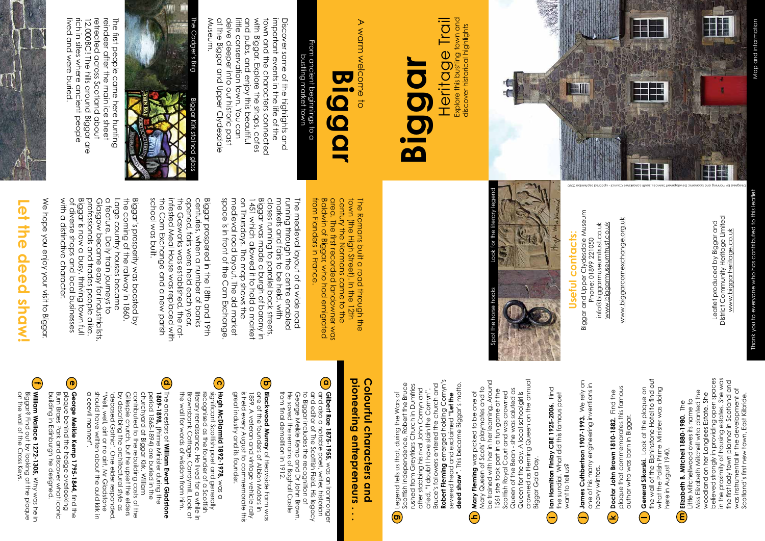Biggar and Upper Clydesdale Museum<br>Phone: 01899 221050<br>info@biggarmuseumtrust.co.uk Biggar and Upper Clydesdale Museum info@biggarmuseumtrust.co.uk www.biggarmuseumtrust.co.uk www.biggarmuseumtrust.co.uk Phone: 01899 221050

www.biggarcornexchange.org.uk www.biggarcornexchange.org.uk

## **Useful contacts:** Useful contacts:

Leaflet produced by Biggar and<br>District Community Heritage Limited<br>www.biggarheritage.co.uk District Community Heritage Limited Leaflet produced by Biggar and www.biggarheritage.co.uk

reindeer after the main ice sheet lived and were buried. rich in sites where ancient people 12,000BC! The hills around Biggar are retreated across scottand apoct The first people came here hunting lived and were buried. rich in sites where ancient people retreated across Scotland about reindeer after the main ice sheet The first people came here hunting 12,000BC! The hills around Biggar are



delve deeper into our historic past<br>at the Biggar and Upper Clydesdale little conservation town. You can important events in the life of the<br>town and the characters connected Museum and pubs, and enjoy this beautiful with Biggar. Explore the shops, cates with Biggar. Explore the shops, cafes Discover some of the highlights and Museum. at the Biggar and Upper Clydesdale delve deeper into our historic past little conservation town. You can and pubs, and enjoy this beautiful town and the characters connected important events in the life of the Discover some of the highlights and

### From ancient beginnings to a<br>bustling market town From ancient beginnings to a bustling market town

We hope you enjoy your visit to Biggar. We hope you enjoy your visit to Biggar.

### $\overline{\mathbf{0}}$ **Let the deed shaw!** the deed **Shaw!**

Biggar is now a busy, thriving town full<br>of diverse shops and local businesses the coming of the railway in 1860 Biggar's prosperity was boosted by With a distinctive character. with a distinctive character. professionals and trades people alike Glasgow became easy for industrialists a feature. Daily train journeys to Large country houses became the coming of the railway in 1860. of diverse shops and local businesses Biggar is now a busy, thriving town full professionals and trades people alike. Glasgow became easy for industrialists, a feature. Daily train journeys to Large country houses became Biggar's prosperity was boosted by

centuries, when a number of banks<br>opened, fairs were held each year, school was built infested Meal House was replaced with school was built. the Corn Exchange and a new parish the Corn Exchange and a new parish the Gassocks was established, the ratthe Gasworks was established, the rat-Biggar prospered in the 18th and 19th infested Meal House was replaced with opened, fairs were held each year, centuries, when a number of banks Biggar prospered in the 18th and 19th

# **Biggar**



Heritage Trail ling town and Heritage Trail Explore this bustling town and discover historical highlights discover historical highlights Explore this bus

The Romans built a road through the<br>town (the High Street). In the 12th<br>century the Normans came to the from Flanders in France from Flanders in France. Baldwin of Biggar, who had emigrated area. The first recorded landowner was town (the High Street). In the 12th The Romans built a road through the Baldwin of Biggar, who had emigrated area. The first recorded landowner was century the Normans came to the

medieval road layout. The old market<br>space is in front of the Corn Exchange on Thursdays. The map shows the Biggar was made a burgh of barony space is in front of the Corn Exchange. 1451 which allowed it to hold a market closes running to parallel back streets. markets and fairs to be held, with runing through the centre enabled The medieval layout of a wide road The medieval layout of a wide road medieval road layout. The old market on Thursdays. The map shows the 1451 which allowed it to hold a market Biggar was made a burgh of barony in closes running to parallel back streets. markets and fairs to be held, with running through the centre enabled  $\overline{5}$ 

Map and information Map and information

A warm welcome to A warm welcome to

> Find **Ian Hamilton Finlay CBE 1925-2006.** Find the sundial. What did this famous poet lan Hamilton Finlay CBE 1925-2006. Fin<br>the sundial. What did this famous poet<br>want to tell us? want to tell us?

# **Biggar**

Legend tells us that, during the Wars of Scottish Independence, Robert the Bruce rushed from Greyfriars Church in Dumfries after stabbing his rival John Comyn and cried, "I doubt I have slain the Comyn". Bruce's followers entered the church and **Robert Fleming** emerged holding Comyn's severed head and exclaimed **"Let the deed shaw"**. This became Biggar's motto.

Legend tells us that, during the Wars of

Scottish Independence, Robert the Bruce<br>rushed from Greyfriars Church in Dumfries<br>after stabbing his rival John Comyn and

"I doubt I have slain the Comyn'

cried,

**William Wallace 1272-1305,** Why was he in on the wall of the Cross Keys. Biggar? Find out by looking at the plaque **f** ) Will**am Wallace 1272-1305**, Why was he in<br>Biggar? Find out by looking at the plaque<br>on the wall of the Cross Keys.

## pioneering entrepreneurs **pioneering entrepreneurs . . .**

## Colourful characters and **Colourful characters and**

**Doctor John Brown 1810-1882.** Find the<br>plaque that commemorates this famous<br>author who was born in Biggar. plaque that commemorates this famous **Doctor John Brown 1810-1882.** Find the author who was born in Biggar. **k**

**General Sikorski**. Look at the plaque on<br>the wall of the Elphinstone Hotel to find out<br>what the Polish Prime Minister was doing<br>here in August 1940. the wall of the Elphinstone Hotel to find out **General Sikorski.** Look at the plaque on what the Polish Prime Minister was doing here in August 1940. **l**

**Mary Fleming** was picked to be one of Mary Queen of Scots' playmates and to be trained with her in her learning. Around 1561 she took part in a fun game at the Scottish Royal Court and was crowned Queen of the Bean - she was saluted as Queen for the day. A local schoolgirl is crowned as Fleming Queen on the annual

Mary Fleming was picked to be one of<br>Mary Queen of Scots' playmates and to<br>be trained with her in her learning. Around

1561 she took part in a fun game at the<br>Scottish Royal Court and was crowned

Bruce's followers entered the church and<br>**Robert Fleming** emerged holding Comyn's<br>severed head and exclaimed **"Let the**<br>dood cham!" This because Bisacr<sup>u</sup>s mosts

deed shaw". This became Biggar's motto.

Biggar Gala Day.

Biggar Gala Day.

Queen of the Bean - she was saluted as<br>Queen for the day. A local schoolgirl is<br>crowned as Fleming Queen on the annual

believed strongly in providing open spaces in the proximity of housing estates. She was in the proximity of housing estates. She was<br>the first lady town planner in Scotland and<br>was instrumental in the development of<br>Scotland's first new town, East Kilbride. believed strongly in providing open spaces the first lady town planner in Scotland and was instrumental in the development of Little Mitchellwood owes its name to<br>Miss Elizabeth Mitchell who planted the Miss Elizabeth Mitchell who planted the woodland on her Langlees Estate. She woodland on her Langlees Estate. She Scotland's first new town, East Kilbride. Little Mitchellwood owes its name to





contributed to this leaflet Thank you to everyone who has contributed to this leaflet ww.biggarmuseum.com/<br>www.biggarmuseum.com Thank you to everyone who has

**James Cuthbertson 1907-1993.** We rely on James Cuthbertson 1907-1993. We rely on<br>one of his many engineering inventions in one of his many engineering inventions in heavy winters. heavy winters. **j**

**Elizabeth B. Mitchell 1880-1980.** The Elizabeth B. Mitchell 1880-1980. The **m**

**a Gilbert Rae 1875-1955**, was an ironmonger<br>and also a notable poet, witter, historian<br>and editor of The Scottish Field. His legacy<br>to Bicocor includes the recondition to Biggar includes the recognition of<br>George Meikle Kemp and Dr John Brown<br>He saved the remains of Boghall Castle<br>from final demolition in 1912. from final demolition in 1912. He saved the remains of Boghall Castle George Meikle Kemp and Dr John Brown. to Biggar includes the recognition of and editor of The Scottish Field. His legacy and also a notable poet, writer, historian **Gilbert Rae 1875-1955,**was an ironmonger

**b** one of the founders of Albion Motors in<br>1899. A veteran and vintage vehicle rally<br>is held every August to commemorate this<br>great industry and its founder. great industry and its founder. is held every August to commemorate this one of the founders of Albion Motors in **Blackwood Murray** 1899. A veteran and vintage vehicle rally of Heaviside Farm was

**c** literary renaissance. He lived for a while in<br>Brownsbank Cottage, Candymill. Look at<br>Brownsbank Cottage, Candymill. Look at significant Scottish poet and generally<br>recognised as the founder of a Scottish **Hugh McDiarmid 1892-1978, was a** the wall tor words of wisdom trom him. the wall for words of wisdom from him. Brownsbank Cottage, Candymill. Look at literary renaissance. He lived for a while in recognised as the founder of a Scottish significant Scottish poet and generally **Hugh McDiarmid 1892-1978,** was a

**d** The ancestors of **William Ewart Gladstone**<br>1809-1898, (Prime Minister during the by describing the architectural style as<br>'debased Gothic'. One elder responded<br>''Well, well, airt or no airt, Mr Gladstone contributed to the rebuilding costs of the<br>Gillespie church, but he upset the elders period 1868-1894) are buried in the<br>churchyard at Biggar Kirk. William a ceevil manner' shoud have witten about the a ceevil manner". should have written about the auld kirk in by describing the architectural style as Gillespie church, but he upset the elders contributed to the rebuilding costs of the churchyard at Biggar Kirk. William period 1868-1894) are buried in the **1809-1898,** The ancestors of "Well, well, airt or no airt, Mr Gladstone 'debased Gothic'. One elder responded, (Prime Minister during the **William Ewart Gladstone**  auld kirk in

**e George Meikle Kemp 1795-1844,** find the<br>plaque behind the hedge overlooking building in Edinburgh he designed. Burn Braes Park and discover what iconic building in Edinburgh he designed. Burn Braes Park and discover what iconic plaque behind the hedge overlooking **George Meikle Kemp 1795-1844,** find the

**g**

**h**

**i**